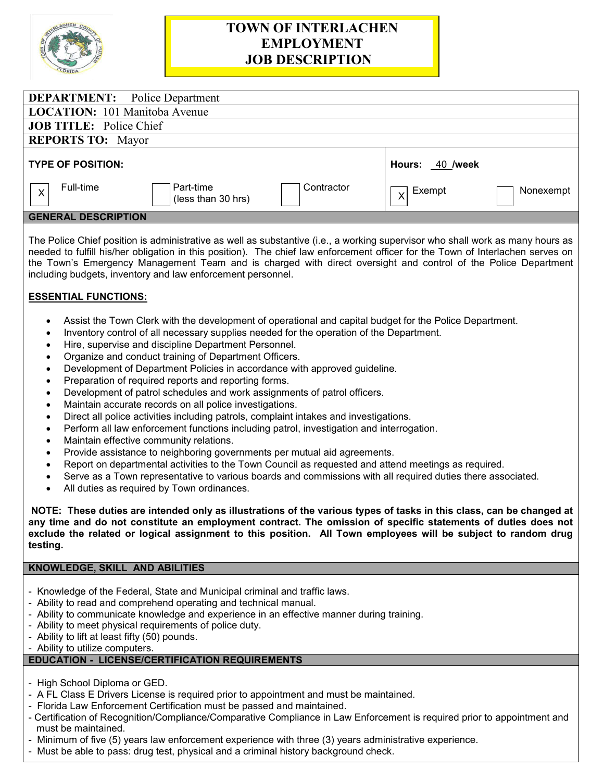

# **TOWN OF INTERLACHEN EMPLOYMENT JOB DESCRIPTION**

| <b>DEPARTMENT:</b> Police Department                                                  |                                                  |
|---------------------------------------------------------------------------------------|--------------------------------------------------|
| <b>LOCATION:</b> 101 Manitoba Avenue                                                  |                                                  |
| <b>JOB TITLE:</b> Police Chief                                                        |                                                  |
| <b>REPORTS TO: Mayor</b>                                                              |                                                  |
| <b>TYPE OF POSITION:</b>                                                              | Hours: 40 /week                                  |
| Full-time<br>Contractor<br>Part-time<br>$\overline{\mathsf{X}}$<br>(less than 30 hrs) | Exempt<br>Nonexempt<br>$\mathsf{x}^{\mathsf{l}}$ |
| <b>GENERAL DESCRIPTION</b>                                                            |                                                  |
|                                                                                       |                                                  |

The Police Chief position is administrative as well as substantive (i.e., a working supervisor who shall work as many hours as needed to fulfill his/her obligation in this position). The chief law enforcement officer for the Town of Interlachen serves on the Town's Emergency Management Team and is charged with direct oversight and control of the Police Department including budgets, inventory and law enforcement personnel.

## **ESSENTIAL FUNCTIONS:**

- Assist the Town Clerk with the development of operational and capital budget for the Police Department.
- Inventory control of all necessary supplies needed for the operation of the Department.
- Hire, supervise and discipline Department Personnel.
- Organize and conduct training of Department Officers.
- Development of Department Policies in accordance with approved guideline.
- Preparation of required reports and reporting forms.
- Development of patrol schedules and work assignments of patrol officers.
- Maintain accurate records on all police investigations.
- Direct all police activities including patrols, complaint intakes and investigations.
- Perform all law enforcement functions including patrol, investigation and interrogation.
- Maintain effective community relations.
- Provide assistance to neighboring governments per mutual aid agreements.
- Report on departmental activities to the Town Council as requested and attend meetings as required.
- Serve as a Town representative to various boards and commissions with all required duties there associated.
- All duties as required by Town ordinances.

**NOTE: These duties are intended only as illustrations of the various types of tasks in this class, can be changed at any time and do not constitute an employment contract. The omission of specific statements of duties does not exclude the related or logical assignment to this position. All Town employees will be subject to random drug testing.**

#### **KNOWLEDGE, SKILL AND ABILITIES**

- Knowledge of the Federal, State and Municipal criminal and traffic laws.
- Ability to read and comprehend operating and technical manual.
- Ability to communicate knowledge and experience in an effective manner during training.
- Ability to meet physical requirements of police duty.
- Ability to lift at least fifty (50) pounds.
- Ability to utilize computers.

# **EDUCATION - LICENSE/CERTIFICATION REQUIREMENTS**

- High School Diploma or GED.
- A FL Class E Drivers License is required prior to appointment and must be maintained.
- Florida Law Enforcement Certification must be passed and maintained.
- Certification of Recognition/Compliance/Comparative Compliance in Law Enforcement is required prior to appointment and must be maintained.
- Minimum of five (5) years law enforcement experience with three (3) years administrative experience.
- Must be able to pass: drug test, physical and a criminal history background check.